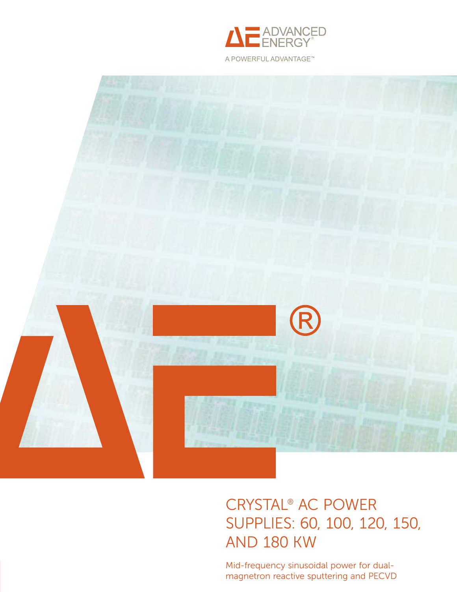



# Crystal® AC Power [Supplies: 60, 100, 120, 150,](http://www.advanced-energy.com/en/Crystal_High_Power_Systems.html)  and 180 kW

Mid-frequency sinusoidal power for dualmagnetron reactive sputtering and PECVD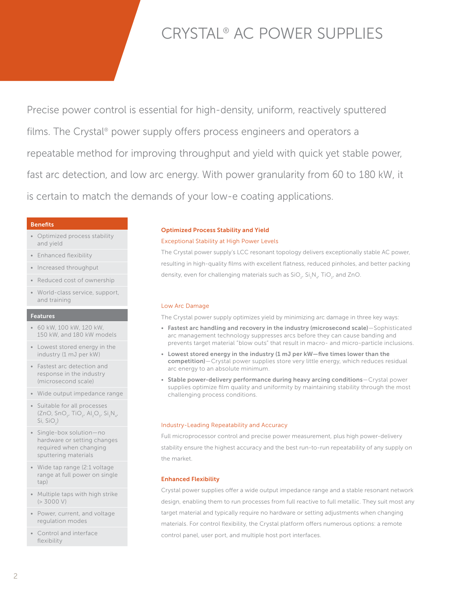# CRYSTAL® AC POWER SUPPLIES

Precise power control is essential for high-density, uniform, reactively sputtered films. The Crystal<sup>®</sup> power supply offers process engineers and operators a repeatable method for improving throughput and yield with quick yet stable power, fast arc detection, and low arc energy. With power granularity from 60 to 180 kW, it is certain to match the demands of your low-e coating applications.

# **Benefits**

- Optimized process stability and yield
- Enhanced flexibility
- Increased throughput
- Reduced cost of ownership
- World-class service, support, and training

## Features

- 60 kW, 100 kW, 120 kW, 150 kW, and 180 kW models
- Lowest stored energy in the industry (1 mJ per kW)
- Fastest arc detection and response in the industry (microsecond scale)
- Wide output impedance range
- Suitable for all processes  $(ZnO, SnO<sub>2</sub>, TiO<sub>2</sub>, Al<sub>2</sub>O<sub>3</sub>, Si<sub>3</sub>N<sub>4</sub>,$ Si, Si $\bigcirc_{2}$ )
- Single-box solution—no hardware or setting changes required when changing sputtering materials
- Wide tap range (2:1 voltage range at full power on single tap)
- Multiple taps with high strike (> 3000 V)
- Power, current, and voltage regulation modes
- Control and interface flexibility

# Optimized Process Stability and Yield

# Exceptional Stability at High Power Levels

The Crystal power supply's LCC resonant topology delivers exceptionally stable AC power, resulting in high-quality films with excellent flatness, reduced pinholes, and better packing density, even for challenging materials such as  $\mathsf{SiO}_{2'}$   $\mathsf{Si}_3\mathsf{N}_{4'}$  TiO<sub>2</sub>, and ZnO.

# Low Arc Damage

The Crystal power supply optimizes yield by minimizing arc damage in three key ways:

- Fastest arc handling and recovery in the industry (microsecond scale)—Sophisticated arc management technology suppresses arcs before they can cause banding and prevents target material "blow outs" that result in macro- and micro-particle inclusions.
- Lowest stored energy in the industry (1 mJ per kW—five times lower than the competition)—Crystal power supplies store very little energy, which reduces residual arc energy to an absolute minimum.
- Stable power-delivery performance during heavy arcing conditions—Crystal power supplies optimize film quality and uniformity by maintaining stability through the most challenging process conditions.

## Industry-Leading Repeatability and Accuracy

Full microprocessor control and precise power measurement, plus high power-delivery stability ensure the highest accuracy and the best run-to-run repeatability of any supply on the market.

# Enhanced Flexibility

Crystal power supplies offer a wide output impedance range and a stable resonant network design, enabling them to run processes from full reactive to full metallic. They suit most any target material and typically require no hardware or setting adjustments when changing materials. For control flexibility, the Crystal platform offers numerous options: a remote control panel, user port, and multiple host port interfaces.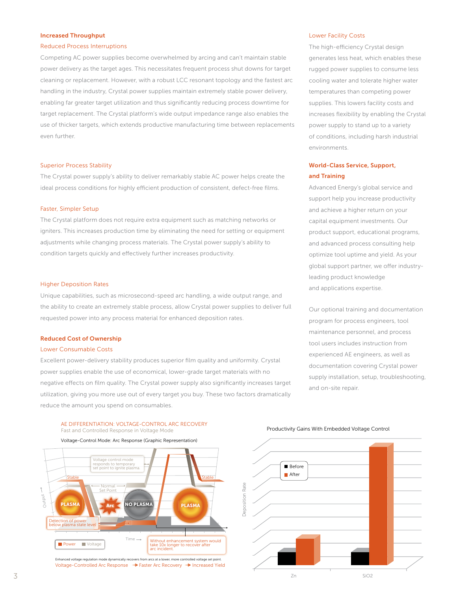### Increased Throughput

#### Reduced Process Interruptions

Competing AC power supplies become overwhelmed by arcing and can't maintain stable power delivery as the target ages. This necessitates frequent process shut downs for target cleaning or replacement. However, with a robust LCC resonant topology and the fastest arc handling in the industry, Crystal power supplies maintain extremely stable power delivery, enabling far greater target utilization and thus significantly reducing process downtime for target replacement. The Crystal platform's wide output impedance range also enables the use of thicker targets, which extends productive manufacturing time between replacements even further.

#### Superior Process Stability

The Crystal power supply's ability to deliver remarkably stable AC power helps create the ideal process conditions for highly efficient production of consistent, defect-free films.

### Faster, Simpler Setup

The Crystal platform does not require extra equipment such as matching networks or igniters. This increases production time by eliminating the need for setting or equipment adjustments while changing process materials. The Crystal power supply's ability to condition targets quickly and effectively further increases productivity.

## Higher Deposition Rates

Unique capabilities, such as microsecond-speed arc handling, a wide output range, and the ability to create an extremely stable process, allow Crystal power supplies to deliver full requested power into any process material for enhanced deposition rates.

#### Reduced Cost of Ownership

#### Lower Consumable Costs

Excellent power-delivery stability produces superior film quality and uniformity. Crystal power supplies enable the use of economical, lower-grade target materials with no negative effects on film quality. The Crystal power supply also significantly increases target utilization, giving you more use out of every target you buy. These two factors dramatically reduce the amount you spend on consumables.

#### AE DIFFERENTIATION: VOLTAGE-CONTROL ARC RECOVERY Fast and Controlled Response in Voltage Mode



Voltage-Controlled Arc Response → Faster Arc Recovery → Increased Yield

## Lower Facility Costs

The high-efficiency Crystal design generates less heat, which enables these rugged power supplies to consume less cooling water and tolerate higher water temperatures than competing power supplies. This lowers facility costs and increases flexibility by enabling the Crystal power supply to stand up to a variety of conditions, including harsh industrial environments.

# World-Class Service, Support, and Training

Advanced Energy's global service and support help you increase productivity and achieve a higher return on your capital equipment investments. Our product support, educational programs, and advanced process consulting help optimize tool uptime and yield. As your global support partner, we offer industryleading product knowledge and applications expertise.

Our optional training and documentation program for process engineers, tool maintenance personnel, and process tool users includes instruction from experienced AE engineers, as well as documentation covering Crystal power supply installation, setup, troubleshooting, and on-site repair.

#### Productivity Gains With Embedded Voltage Control

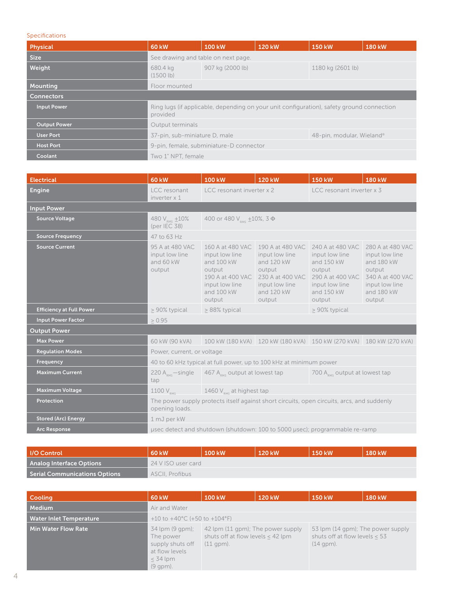## Specifications

| Physical            | <b>60 kW</b>                                                                                          | <b>100 kW</b>    | 120 kW | 150 kW            | 180 kW |  |  |
|---------------------|-------------------------------------------------------------------------------------------------------|------------------|--------|-------------------|--------|--|--|
| <b>Size</b>         | See drawing and table on next page.                                                                   |                  |        |                   |        |  |  |
| Weight              | 680.4 kg<br>(1500 lb)                                                                                 | 907 kg (2000 lb) |        | 1180 kg (2601 lb) |        |  |  |
| Mounting            | Floor mounted                                                                                         |                  |        |                   |        |  |  |
| <b>Connectors</b>   |                                                                                                       |                  |        |                   |        |  |  |
| <b>Input Power</b>  | Ring lugs (if applicable, depending on your unit configuration), safety ground connection<br>provided |                  |        |                   |        |  |  |
| <b>Output Power</b> | Output terminals                                                                                      |                  |        |                   |        |  |  |
| <b>User Port</b>    | 48-pin, modular, Wieland®<br>37-pin, sub-miniature D, male                                            |                  |        |                   |        |  |  |
| <b>Host Port</b>    | 9-pin, female, subminiature-D connector                                                               |                  |        |                   |        |  |  |
| Coolant             | Two 1" NPT, female                                                                                    |                  |        |                   |        |  |  |

| <b>Electrical</b>               | <b>60 kW</b>                                                                                                 | 100 kW                                                                                               | <b>120 kW</b>                                                                                                                             | <b>150 kW</b>                                                                                                            | <b>180 kW</b>                                                                                                            |  |
|---------------------------------|--------------------------------------------------------------------------------------------------------------|------------------------------------------------------------------------------------------------------|-------------------------------------------------------------------------------------------------------------------------------------------|--------------------------------------------------------------------------------------------------------------------------|--------------------------------------------------------------------------------------------------------------------------|--|
| <b>Engine</b>                   | LCC resonant<br>inverter x 1                                                                                 | LCC resonant inverter x 2                                                                            |                                                                                                                                           | LCC resonant inverter x 3                                                                                                |                                                                                                                          |  |
| <b>Input Power</b>              |                                                                                                              |                                                                                                      |                                                                                                                                           |                                                                                                                          |                                                                                                                          |  |
| <b>Source Voltage</b>           | 480 $V_{RMS}$ $\pm 10\%$<br>(per IEC 38)                                                                     | 400 or 480 V <sub>RMS</sub> $\pm$ 10%, 3 Ф                                                           |                                                                                                                                           |                                                                                                                          |                                                                                                                          |  |
| <b>Source Frequency</b>         | 47 to 63 Hz                                                                                                  |                                                                                                      |                                                                                                                                           |                                                                                                                          |                                                                                                                          |  |
| <b>Source Current</b>           | 95 A at 480 VAC<br>input low line<br>and 60 kW<br>output                                                     | 160 A at 480 VAC<br>input low line<br>and 100 kW<br>output<br>input low line<br>and 100 kW<br>output | 190 A at 480 VAC<br>input low line<br>and 120 kW<br>output<br>190 A at 400 VAC 230 A at 400 VAC<br>input low line<br>and 120 kW<br>output | 240 A at 480 VAC<br>input low line<br>and 150 kW<br>output<br>290 A at 400 VAC<br>input low line<br>and 150 kW<br>output | 280 A at 480 VAC<br>input low line<br>and 180 kW<br>output<br>340 A at 400 VAC<br>input low line<br>and 180 kW<br>output |  |
| <b>Efficiency at Full Power</b> | > 90% typical                                                                                                | > 88% typical                                                                                        |                                                                                                                                           | > 90% typical                                                                                                            |                                                                                                                          |  |
| <b>Input Power Factor</b>       | $\geq 0.95$                                                                                                  |                                                                                                      |                                                                                                                                           |                                                                                                                          |                                                                                                                          |  |
| <b>Output Power</b>             |                                                                                                              |                                                                                                      |                                                                                                                                           |                                                                                                                          |                                                                                                                          |  |
| <b>Max Power</b>                | 60 kW (90 kVA)                                                                                               |                                                                                                      | 100 kW (180 kVA) 120 kW (180 kVA) 150 kW (270 kVA) 180 kW (270 kVA)                                                                       |                                                                                                                          |                                                                                                                          |  |
| <b>Regulation Modes</b>         | Power, current, or voltage                                                                                   |                                                                                                      |                                                                                                                                           |                                                                                                                          |                                                                                                                          |  |
| Frequency                       | 40 to 60 kHz typical at full power, up to 100 kHz at minimum power                                           |                                                                                                      |                                                                                                                                           |                                                                                                                          |                                                                                                                          |  |
| <b>Maximum Current</b>          | 220 $Amax$ -single<br>tap                                                                                    | 467 $A_{RMS}$ output at lowest tap                                                                   |                                                                                                                                           | 700 $A_{\text{osc}}$ output at lowest tap                                                                                |                                                                                                                          |  |
| <b>Maximum Voltage</b>          | 1100 V <sub>RMS</sub>                                                                                        | 1460 $V_{\text{PMS}}$ at highest tap                                                                 |                                                                                                                                           |                                                                                                                          |                                                                                                                          |  |
| Protection                      | The power supply protects itself against short circuits, open circuits, arcs, and suddenly<br>opening loads. |                                                                                                      |                                                                                                                                           |                                                                                                                          |                                                                                                                          |  |
| <b>Stored (Arc) Energy</b>      | 1 mJ per kW                                                                                                  |                                                                                                      |                                                                                                                                           |                                                                                                                          |                                                                                                                          |  |
| <b>Arc Response</b>             | µsec detect and shutdown (shutdown: 100 to 5000 µsec); programmable re-ramp                                  |                                                                                                      |                                                                                                                                           |                                                                                                                          |                                                                                                                          |  |

| <b>I/O Control</b>                   | 60 kW              | 100 kW | 120 kW | <b>150 kW</b> | 180 kW |  |
|--------------------------------------|--------------------|--------|--------|---------------|--------|--|
| <b>Analog Interface Options</b>      | 24 V ISO user card |        |        |               |        |  |
| <b>Serial Communications Options</b> | ASCII, Profibus    |        |        |               |        |  |

| <b>Cooling</b>                 | <b>60 kW</b>                                                                                   | 100 kW                                                                                  | 120 kW | <b>150 kW</b>                                                                       | <b>180 kW</b> |  |
|--------------------------------|------------------------------------------------------------------------------------------------|-----------------------------------------------------------------------------------------|--------|-------------------------------------------------------------------------------------|---------------|--|
| Medium                         | Air and Water                                                                                  |                                                                                         |        |                                                                                     |               |  |
| <b>Water Inlet Temperature</b> | +10 to +40 °C (+50 to +104 °F)                                                                 |                                                                                         |        |                                                                                     |               |  |
| Min Water Flow Rate            | 34 lpm (9 gpm);<br>The power<br>supply shuts off<br>at flow levels<br>$<$ 34 lpm<br>$(9$ qpm). | 42 lpm (11 gpm); The power supply<br>shuts off at flow levels $<$ 42 lpm<br>$(11$ gpm). |        | 53 lpm (14 gpm); The power supply<br>shuts off at flow levels $< 53$<br>$(14$ gpm). |               |  |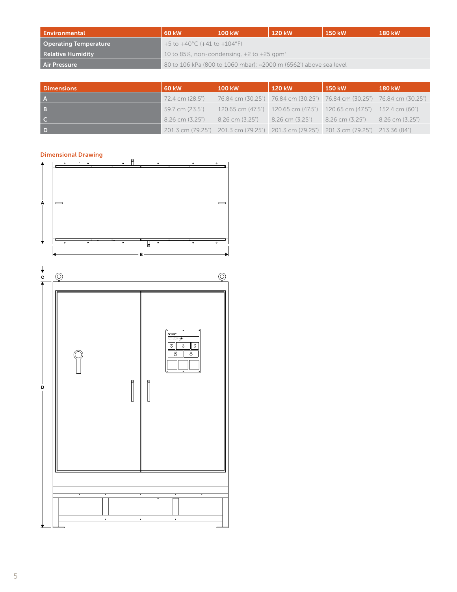| Environmental                | <b>60 kW</b>                                                      | <b>100 kW</b> | 120 kW | 150 kW | 180 kW |  |
|------------------------------|-------------------------------------------------------------------|---------------|--------|--------|--------|--|
| <b>Operating Temperature</b> | +5 to +40 °C (+41 to +104 °F)                                     |               |        |        |        |  |
| <b>Relative Humidity</b>     | 10 to 85%, non-condensing, $+2$ to $+25$ gpm <sup>3</sup>         |               |        |        |        |  |
| <b>Air Pressure</b>          | 80 to 106 kPa (800 to 1060 mbar); ~2000 m (6562') above sea level |               |        |        |        |  |

| <b>Dimensions</b> | 60 kW | 100 kW | 120 kW | 150 kW                                                                                       | 180 kW |
|-------------------|-------|--------|--------|----------------------------------------------------------------------------------------------|--------|
| $\overline{A}$    |       |        |        | 72.4 cm (28.5") 76.84 cm (30.25") 76.84 cm (30.25") 76.84 cm (30.25") 76.84 cm (30.25")      |        |
| <b>B</b>          |       |        |        | 59.7 cm (23.5")   120.65 cm (47.5")   120.65 cm (47.5")   120.65 cm (47.5")   152.4 cm (60") |        |
| $\overline{C}$    |       |        |        | $8.26$ cm (3.25") $8.26$ cm (3.25") $8.26$ cm (3.25") $8.26$ cm (3.25") $8.26$ cm (3.25")    |        |
| D                 |       |        |        | 201.3 cm (79.25") 201.3 cm (79.25") 201.3 cm (79.25") 201.3 cm (79.25") 213.36 (84")         |        |

# Dimensional Drawing